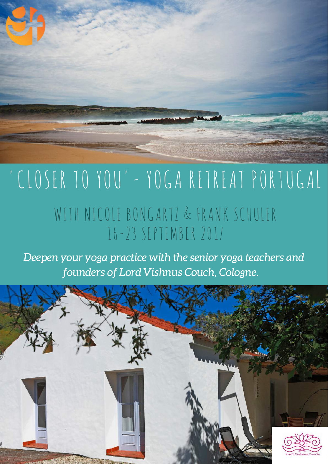

# 'CLOSER TO YOU'- YOGA RETREAT PORTUGAL WITH NICOLE BONGARTZ & FRANK SCHULER 16-23 SEPTEMBER 2017

Deepen your yoga practice with the senior yoga teachers and founders of Lord Vishnus Couch, Cologne.

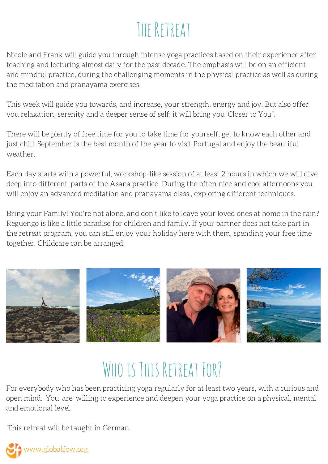## THE RETREAT

Nicole and Frank will guide you through intense yoga practices based on their experience after teaching and lecturing almost daily for the past decade. The emphasis will be on an efficient and mindful practice, during the challenging moments in the physical practice as well as during the meditation and pranayama exercises.

This week will guide you towards, and increase, your strength, energy and joy. But also offer you relaxation, serenity and a deeper sense of self: it will bring you 'Closer to You".

There will be plenty of free time for you to take time for yourself, get to know each other and just chill. September is the best month of the year to visit Portugal and enjoy the beautiful weather.

Each day starts with a powerful, workshop-like session of at least 2 hours in which we will dive deep into different parts of the Asana practice. During the often nice and cool afternoons you will enjoy an advanced meditation and pranayama class., exploring different techniques.

Bring your Family! You're not alone, and don't like to leave your loved ones at home in the rain? Reguengo is like a little paradise for children and family. If your partner does not take part in the retreat program, you can still enjoy your holiday here with them, spending your free time together. Childcare can be arranged.



### WHO IS THIS RETREAT FOR?

For everybody who has been practicing yoga regularly for at least two years, with a curious and open mind. You are willing to experience and deepen your yoga practice on a physical, mental and emotional level.

This retreat will be taught in German.

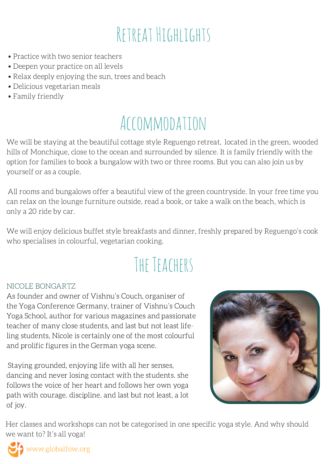## RETREAT HIGHLIGHTS

- Practice with two senior teachers
- Deepen your practice on all levels
- Relax deeply enjoying the sun, trees and beach
- Delicious vegetarian meals
- Family friendly

### Accommodation

We will be staying at the beautiful cottage style Reguengo retreat, located in the green, wooded hills of Monchique, close to the ocean and surrounded by silence. It is family friendly with the option for families to book a bungalow with two or three rooms. But you can also join us by yourself or as a couple.

All rooms and bungalows offer a beautiful view of the green countryside. In your free time you can relax on the lounge furniture outside, read a book, or take a walk on the beach, which is only a 20 ride by car.

We will enjoy delicious buffet style breakfasts and dinner, freshly prepared by Reguengo's cook who specialises in colourful, vegetarian cooking.

# The Teachers

#### NICOLE BONGARTZ

As founder and owner of Vishnu's Couch, organiser of the Yoga Conference Germany, trainer of Vishnu's Couch Yoga School, author for various magazines and passionate teacher of many close students, and last but not least lifeling students, Nicole is certainly one of the most colourful and prolific figures in the German yoga scene.

Staying grounded, enjoying life with all her senses, dancing and never losing contact with the students. she follows the voice of her heart and follows her own yoga path with courage. discipline. and last but not least, a lot of joy.



Her classes and workshops can not be categorised in one specific yoga style. And why should we want to? It's all yoga!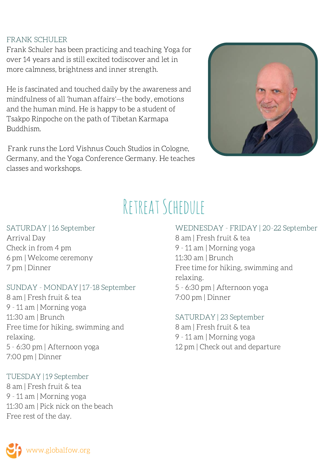#### FRANK SCHULER

Frank Schuler has been practicing and teaching Yoga for over 14 years and is still excited todiscover and let in more calmness, brightness and inner strength.

He is fascinated and touched daily by the awareness and mindfulness of all 'human affairs'—the body, emotions and the human mind. He is happy to be a student of Tsakpo Rinpoche on the path of Tibetan Karmapa Buddhism.

Frank runs the Lord Vishnus Couch Studios in Cologne, Germany, and the Yoga Conference Germany. He teaches classes and workshops.



### Retreat Schedule

#### SATURDAY | 16 September

Arrival Day Check in from 4 pm 6 pm | Welcome ceremony 7 pm | Dinner

#### SUNDAY - MONDAY | 17-18 September

8 am | Fresh fruit & tea 9 - 11 am | Morning yoga 11:30 am | Brunch Free time for hiking, swimming and relaxing. 5 - 6:30 pm | Afternoon yoga 7:00 pm | Dinner

#### TUESDAY | 19 September

8 am | Fresh fruit & tea 9 - 11 am | Morning yoga 11:30 am | Pick nick on the beach Free rest of the day.

WEDNESDAY - FRIDAY | 20-22 September 8 am | Fresh fruit & tea 9 - 11 am | Morning yoga 11:30 am | Brunch Free time for hiking, swimming and relaxing. 5 - 6:30 pm | Afternoon yoga 7:00 pm | Dinner

SATURDAY | 23 September am | Fresh fruit & tea - 11 am | Morning yoga pm | Check out and departure

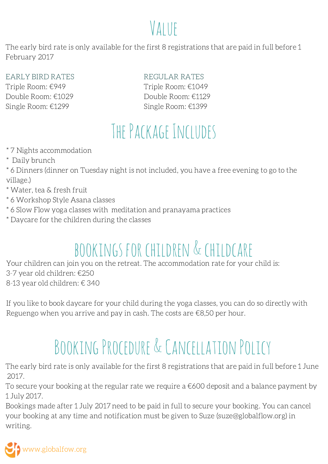### VALUE

The early bird rate is only available for the first 8 registrations that are paid in full before 1 February 2017

EARLY BIRD RATES Triple Room: €949 Double Room: €1029 Single Room: €1299

REGULAR RATES Triple Room: €1049 Double Room: €1129 Single Room: €1399

# The Package Includes

\* 7 Nights accommodation

\* Daily brunch

\* 6 Dinners (dinner on Tuesday night is not included, you have a free evening to go to the village.)

\* Water, tea & fresh fruit

- \* 6 Workshop Style Asana classes
- \* 6 Slow Flow yoga classes with meditation and pranayama practices
- \* Daycare for the children during the classes

# bookings for children & childcare

Your children can join you on the retreat. The accommodation rate for your child is: 3-7 year old children: €250 8-13 year old children: € 340

If you like to book daycare for your child during the yoga classes, you can do so directly with Reguengo when you arrive and pay in cash. The costs are €8,50 per hour.

# BOOKING PROCEDURE & CANCELLATION POLICY

The early bird rate is only available for the first 8 registrations that are paid in full before 1 June 2017.

To secure your booking at the regular rate we require a €600 deposit and a balance payment by 1 July 2017.

Bookings made after 1 July 2017 need to be paid in full to secure your booking. You can cancel your booking at any time and notification must be given to Suze (suze@globalflow.org) in writing.